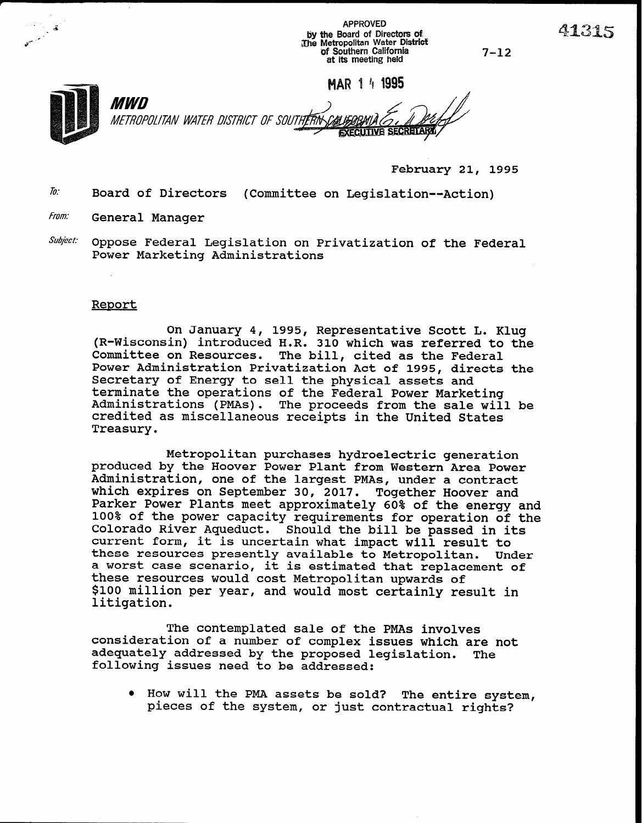- APPROVED<br>By the Board of Directors of defined to the Board of Directors of defined to the Metropolitan Water District d<br>The Metropolitan Water District و المستخدم المستخدم المستخدم المستخدم المستخدم المستخدم المستخدم ال of Southern California at its meeting held 7-12

MAR 1 4 1995

Mm METROPOLITAN WATER DISTRICT OF SOUTHERN **EXECUTIVE SECRETAR** 

February 21, 1995

- $\bar{h}$ : Board of Directors (Committee on Legislation--Action)
- From: General Manager
- $\textit{Subject:}$  Oppose Federal Legislation on Privatization of the Federal Power Marketing Administrations

## Report

On January 4, 1995, Representative Scott L. Klug (R-Wisconsin) introduced H.R. 310 which was referred to the The bill, cited as the Federal Power Administration Privatization Act of 1995, directs the Secretary of Energy to sell the physical assets and terminate the operations of the Federal Power Marketing Administrations (PMAs). The proceeds from the sale will be credited as miscellaneous receipts in the United States Treasury.

Metropolitan purchases hydroelectric generation produced by the Hoover Power Plant from Western Area Power Administration, one of the largest PMAs, under a contract which expires on September 30, 2017. Together Hoover and Parker Power Plants meet approximately 60% of the energy and 100% of the power capacity requirements for operation of the Colorado River Aqueduct. Should the bill be passed in its current form, it is uncertain what impact will result to these resources presently available to Metropolitan. Under a worst case scenario, it is estimated that replacement of these resources would cost Metropolitan upwards of \$100 million per year, and would most certainly result in litigation.

The contemplated sale of the PMAs involves consideration of a number of complex issues which are not adequately addressed by the proposed legislation. The following issues need to be addressed:

. How will the PMA assets be sold? The entire system pieces of the system, or just contractual right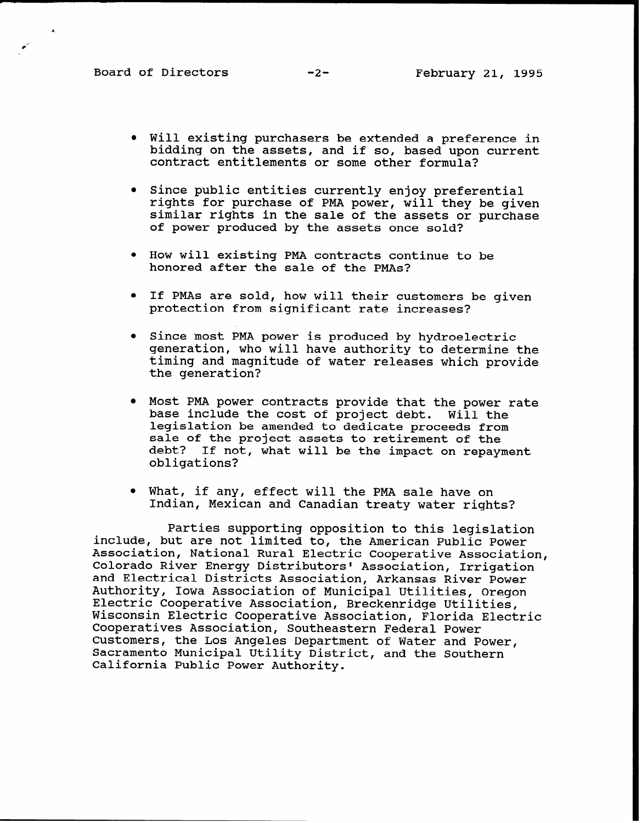- Will existing purchasers be extended a preference in bidding on the assets, and if so, based upon current contract entitlements or some other formula?
- **•** Since public entities currently enjoy preferential rights for purchase of PMA power, will they be given similar rights in the sale of the assets or purchase of power produced by the assets once sold?
- How will existing PMA contracts continue to be honored after the sale of the PMAs?
- . If PMAs are sold, how will their customers be given protection from significant rate increases?
- Since most PMA power is produced by hydroelectric generation, who will have authority to determine the timing and magnitude of water releases which provide the generation?
- $\bullet$  Most PMA power contracts provide that the power rate base include the cost of project debt. Will the legislation be amended to dedicate proceeds from sale of the project assets to retirement of the debt? If not, what will be the impact on repayment obligations?
- What, if any, effect will the PMA sale have on Indian, Mexican and Canadian treaty water rights?

Parties supporting opposition to this legislation include, but are not limited to, the American Public Power Association, National Rural Electric Cooperative Association, Colorado River Energy Distributors' Association, Irrigation and Electrical Districts Association, Arkansas River Power Authority, Iowa Association of Municipal Utilities, Oregon Electric Cooperative Association, Breckenridge Utilities, Wisconsin Electric Cooperative Association, Florida Electric Cooperatives Association, Southeastern Federal Power Customers, the Los Angeles Department of Water and Power, Sacramento Municipal Utility District, and the Southern California Public Power Authority.